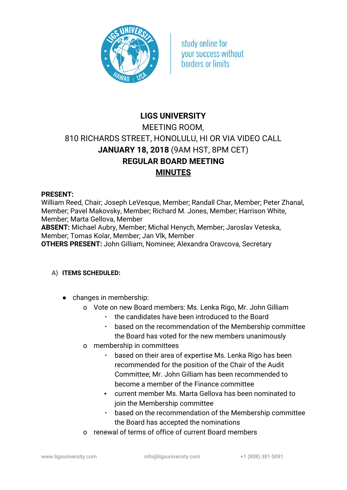

study online for **vour success without** horders or limits

# **LIGS UNIVERSITY** MEETING ROOM, 810 RICHARDS STREET, HONOLULU, HI OR VIA VIDEO CALL **JANUARY 18, 2018** (9AM HST, 8PM CET) **REGULAR BOARD MEETING MINUTES**

#### **PRESENT:**

William Reed, Chair; Joseph LeVesque, Member; Randall Char, Member; Peter Zhanal, Member; Pavel Makovsky, Member; Richard M. Jones, Member; Harrison White, Member; Marta Gellova, Member

**ABSENT:** Michael Aubry, Member; Michal Henych, Member; Jaroslav Veteska, Member; Tomas Kolar, Member; Jan Vlk, Member

**OTHERS PRESENT:** John Gilliam, Nominee; Alexandra Oravcova, Secretary

### A) **ITEMS SCHEDULED:**

- changes in membership:
	- o Vote on new Board members: Ms. Lenka Rigo, Mr. John Gilliam
		- the candidates have been introduced to the Board
		- based on the recommendation of the Membership committee the Board has voted for the new members unanimously
	- o membership in committees
		- based on their area of expertise Ms. Lenka Rigo has been recommended for the position of the Chair of the Audit Committee; Mr. John Gilliam has been recommended to become a member of the Finance committee
		- current member Ms. Marta Gellova has been nominated to join the Membership committee
		- based on the recommendation of the Membership committee the Board has accepted the nominations
	- o renewal of terms of office of current Board members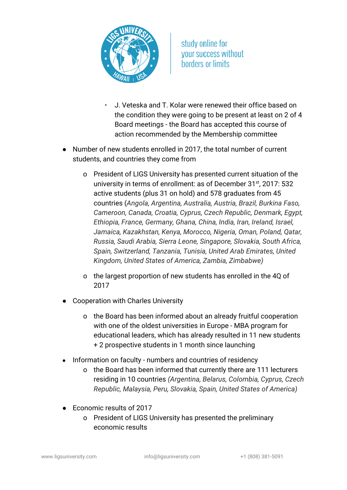

- J. Veteska and T. Kolar were renewed their office based on the condition they were going to be present at least on 2 of 4 Board meetings - the Board has accepted this course of action recommended by the Membership committee
- Number of new students enrolled in 2017, the total number of current students, and countries they come from
	- o President of LIGS University has presented current situation of the university in terms of enrollment: as of December 31<sup>st</sup>, 2017: 532 active students (plus 31 on hold) and 578 graduates from 45 countries (*Angola, Argentina, Australia, Austria, Brazil, Burkina Faso, Cameroon, Canada, Croatia, Cyprus, Czech Republic, Denmark, Egypt, Ethiopia, France, Germany, Ghana, China, India, Iran, Ireland, Israel, Jamaica, Kazakhstan, Kenya, Morocco, Nigeria, Oman, Poland, Qatar, Russia, Saudi Arabia, Sierra Leone, Singapore, Slovakia, South Africa, Spain, Switzerland, Tanzania, Tunisia, United Arab Emirates, United Kingdom, United States of America, Zambia, Zimbabwe)*
	- o the largest proportion of new students has enrolled in the 4Q of 2017
- Cooperation with Charles University
	- o the Board has been informed about an already fruitful cooperation with one of the oldest universities in Europe - MBA program for educational leaders, which has already resulted in 11 new students + 2 prospective students in 1 month since launching
- Information on faculty numbers and countries of residency
	- o the Board has been informed that currently there are 111 lecturers residing in 10 countries *(Argentina, Belarus, Colombia, Cyprus, Czech Republic, Malaysia, Peru, Slovakia, Spain, United States of America)*
- Economic results of 2017
	- o President of LIGS University has presented the preliminary economic results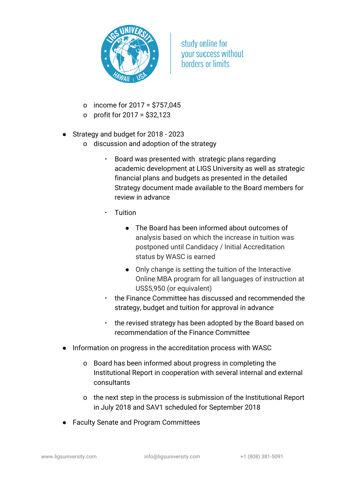

- o income for 2017 = \$757,045
- o profit for 2017 = \$32,123
- Strategy and budget for 2018 2023
	- o discussion and adoption of the strategy
		- Board was presented with strategic plans regarding academic development at LIGS University as well as strategic financial plans and budgets as presented in the detailed Strategy document made available to the Board members for review in advance
			- **Tuition** 
				- The Board has been informed about outcomes of analysis based on which the increase in tuition was postponed until Candidacy / Initial Accreditation status by WASC is earned
				- Only change is setting the tuition of the Interactive Online MBA program for all languages of instruction at US\$5,950 (or equivalent)
		- the Finance Committee has discussed and recommended the strategy, budget and tuition for approval in advance
		- the revised strategy has been adopted by the Board based on recommendation of the Finance Committee
- Information on progress in the accreditation process with WASC
	- o Board has been informed about progress in completing the Institutional Report in cooperation with several internal and external consultants
	- o the next step in the process is submission of the Institutional Report in July 2018 and SAV1 scheduled for September 2018
- Faculty Senate and Program Committees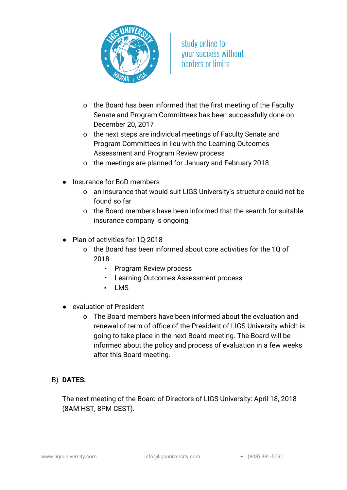

- o the Board has been informed that the first meeting of the Faculty Senate and Program Committees has been successfully done on December 20, 2017
- o the next steps are individual meetings of Faculty Senate and Program Committees in lieu with the Learning Outcomes Assessment and Program Review process
- o the meetings are planned for January and February 2018
- Insurance for BoD members
	- o an insurance that would suit LIGS University's structure could not be found so far
	- o the Board members have been informed that the search for suitable insurance company is ongoing
- Plan of activities for 10 2018
	- o the Board has been informed about core activities for the 1Q of 2018:
		- Program Review process
		- Learning Outcomes Assessment process
		- LMS
- evaluation of President
	- o The Board members have been informed about the evaluation and renewal of term of office of the President of LIGS University which is going to take place in the next Board meeting. The Board will be informed about the policy and process of evaluation in a few weeks after this Board meeting.

## B) **DATES:**

The next meeting of the Board of Directors of LIGS University: April 18, 2018 (8AM HST, 8PM CEST).